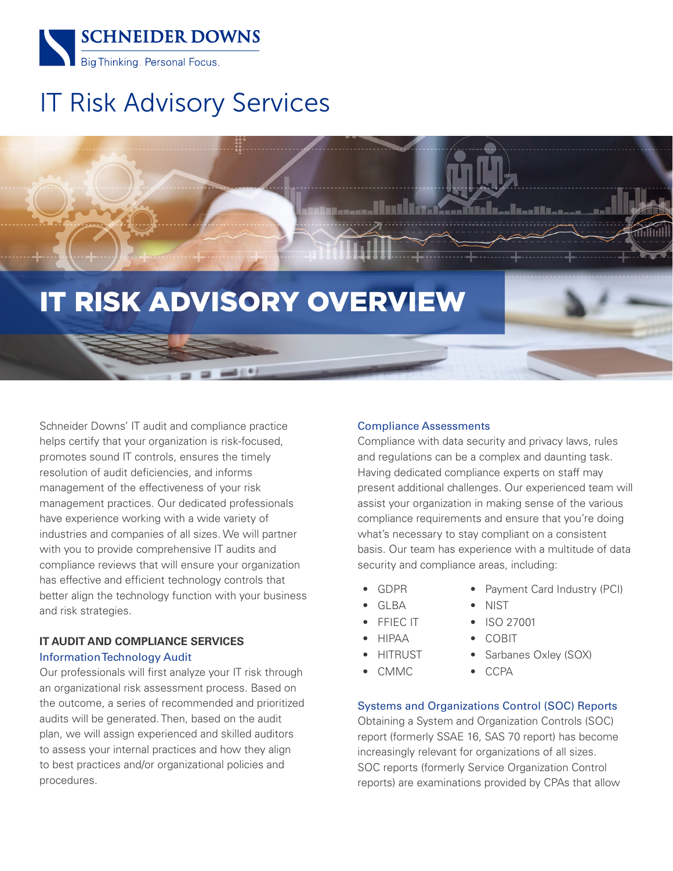

# IT Risk Advisory Services

# IT RISK ADVISORY OVERVIEW

Schneider Downs' IT audit and compliance practice helps certify that your organization is risk-focused, promotes sound IT controls, ensures the timely resolution of audit deficiencies, and informs management of the effectiveness of your risk management practices. Our dedicated professionals have experience working with a wide variety of industries and companies of all sizes. We will partner with you to provide comprehensive IT audits and compliance reviews that will ensure your organization has effective and efficient technology controls that better align the technology function with your business and risk strategies.

# **IT AUDIT AND COMPLIANCE SERVICES** Information Technology Audit

Our professionals will first analyze your IT risk through an organizational risk assessment process. Based on the outcome, a series of recommended and prioritized audits will be generated. Then, based on the audit plan, we will assign experienced and skilled auditors to assess your internal practices and how they align to best practices and/or organizational policies and procedures.

# Compliance Assessments

Compliance with data security and privacy laws, rules and regulations can be a complex and daunting task. Having dedicated compliance experts on staff may present additional challenges. Our experienced team will assist your organization in making sense of the various compliance requirements and ensure that you're doing what's necessary to stay compliant on a consistent basis. Our team has experience with a multitude of data security and compliance areas, including:

> • NIST • ISO 27001 • COBIT

- GDPR • GLBA
- Payment Card Industry (PCI)

• Sarbanes Oxley (SOX)

- 
- FFIEC IT
- HIPAA
- **HITRUST**
- CMMC

# Systems and Organizations Control (SOC) Reports

• CCPA

Obtaining a System and Organization Controls (SOC) report (formerly SSAE 16, SAS 70 report) has become increasingly relevant for organizations of all sizes. SOC reports (formerly Service Organization Control reports) are examinations provided by CPAs that allow